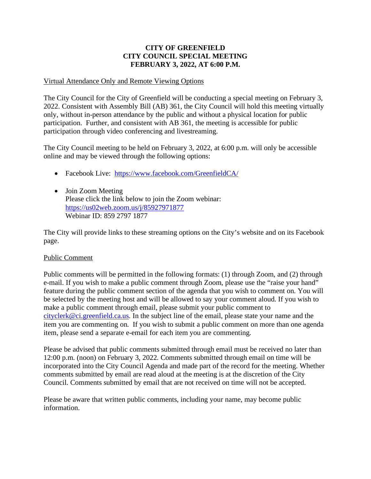## **CITY OF GREENFIELD CITY COUNCIL SPECIAL MEETING FEBRUARY 3, 2022, AT 6:00 P.M.**

### Virtual Attendance Only and Remote Viewing Options

The City Council for the City of Greenfield will be conducting a special meeting on February 3, 2022. Consistent with Assembly Bill (AB) 361, the City Council will hold this meeting virtually only, without in-person attendance by the public and without a physical location for public participation. Further, and consistent with AB 361, the meeting is accessible for public participation through video conferencing and livestreaming.

The City Council meeting to be held on February 3, 2022, at 6:00 p.m. will only be accessible online and may be viewed through the following options:

- Facebook Live: <https://www.facebook.com/GreenfieldCA/>
- Join Zoom Meeting Please click the link below to join the Zoom webinar: <https://us02web.zoom.us/j/85927971877> Webinar ID: 859 2797 1877

The City will provide links to these streaming options on the City's website and on its Facebook page.

## Public Comment

Public comments will be permitted in the following formats: (1) through Zoom, and (2) through e-mail. If you wish to make a public comment through Zoom, please use the "raise your hand" feature during the public comment section of the agenda that you wish to comment on. You will be selected by the meeting host and will be allowed to say your comment aloud. If you wish to make a public comment through email, please submit your public comment to [cityclerk@ci.greenfield.ca.us.](mailto:cityclerk@ci.greenfield.ca.us) In the subject line of the email, please state your name and the item you are commenting on. If you wish to submit a public comment on more than one agenda item, please send a separate e-email for each item you are commenting.

Please be advised that public comments submitted through email must be received no later than 12:00 p.m. (noon) on February 3, 2022. Comments submitted through email on time will be incorporated into the City Council Agenda and made part of the record for the meeting. Whether comments submitted by email are read aloud at the meeting is at the discretion of the City Council. Comments submitted by email that are not received on time will not be accepted.

Please be aware that written public comments, including your name, may become public information.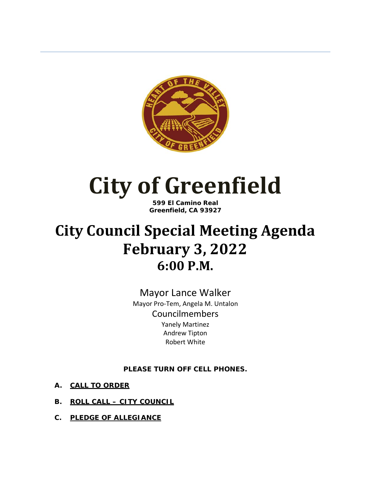

# **City of Greenfield**

**599 El Camino Real Greenfield, CA 93927**

# **City Council Special Meeting Agenda February 3, 2022 6:00 P.M.**

Mayor Lance Walker Mayor Pro-Tem, Angela M. Untalon Councilmembers Yanely Martinez Andrew Tipton Robert White

**PLEASE TURN OFF CELL PHONES.**

- **A. CALL TO ORDER**
- **B. ROLL CALL – CITY COUNCIL**
- **C. PLEDGE OF ALLEGIANCE**